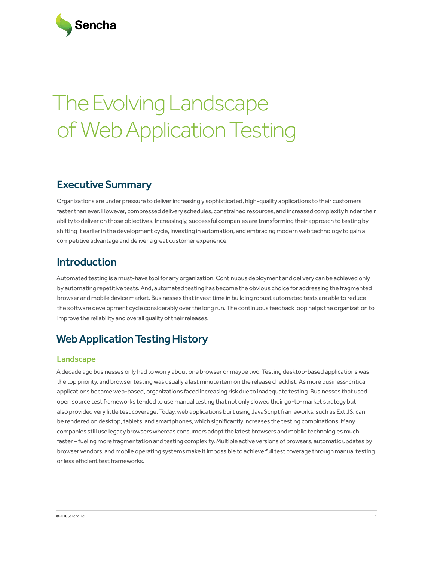# The Evolving Landscape of Web Application Testing

# Executive Summary

Organizations are under pressure to deliver increasingly sophisticated, high-quality applications to their customers faster than ever. However, compressed delivery schedules, constrained resources, and increased complexity hinder their ability to deliver on those objectives. Increasingly, successful companies are transforming their approach to testing by shifting it earlier in the development cycle, investing in automation, and embracing modern web technology to gain a competitive advantage and deliver a great customer experience.

# Introduction

Automated testing is a must-have tool for any organization. Continuous deployment and delivery can be achieved only by automating repetitive tests. And, automated testing has become the obvious choice for addressing the fragmented browser and mobile device market. Businesses that invest time in building robust automated tests are able to reduce the software development cycle considerably over the long run. The continuous feedback loop helps the organization to improve the reliability and overall quality of their releases.

# Web Application Testing History

## **Landscape**

A decade ago businesses only had to worry about one browser or maybe two. Testing desktop-based applications was the top priority, and browser testing was usually a last minute item on the release checklist. As more business-critical applications became web-based, organizations faced increasing risk due to inadequate testing. Businesses that used open source test frameworks tended to use manual testing that not only slowed their go-to-market strategy but also provided very little test coverage. Today, web applications built using JavaScript frameworks, such as Ext JS, can be rendered on desktop, tablets, and smartphones, which significantly increases the testing combinations. Many companies still use legacy browsers whereas consumers adopt the latest browsers and mobile technologies much faster – fueling more fragmentation and testing complexity. Multiple active versions of browsers, automatic updates by browser vendors, and mobile operating systems make it impossible to achieve full test coverage through manual testing or less efficient test frameworks.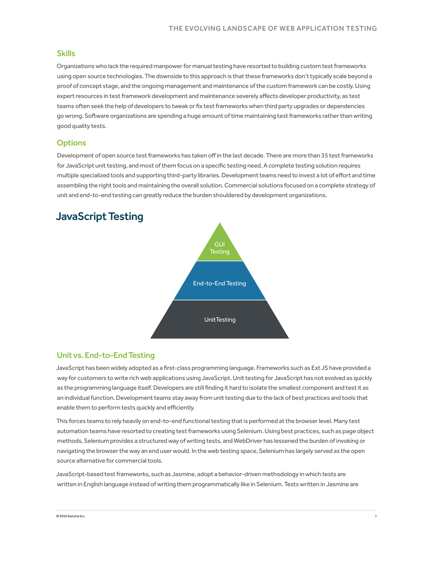#### Skills

Organizations who lack the required manpower for manual testing have resorted to building custom test frameworks using open source technologies. The downside to this approach is that these frameworks don't typically scale beyond a proof of concept stage, and the ongoing management and maintenance of the custom framework can be costly. Using expert resources in test framework development and maintenance severely affects developer productivity, as test teams often seek the help of developers to tweak or fix test frameworks when third party upgrades or dependencies go wrong. Software organizations are spending a huge amount of time maintaining test frameworks rather than writing good quality tests.

#### **Options**

Development of open source test frameworks has taken off in the last decade. There are more than 35 test frameworks for JavaScript unit testing, and most of them focus on a specific testing need. A complete testing solution requires multiple specialized tools and supporting third-party libraries. Development teams need to invest a lot of effort and time assembling the right tools and maintaining the overall solution. Commercial solutions focused on a complete strategy of unit and end-to-end testing can greatly reduce the burden shouldered by development organizations.



## JavaScript Testing

#### Unit vs. End-to-End Testing

JavaScript has been widely adopted as a first-class programming language. Frameworks such as Ext JS have provided a way for customers to write rich web applications using JavaScript. Unit testing for JavaScript has not evolved as quickly as the programming language itself. Developers are still finding it hard to isolate the smallest component and test it as an individual function. Development teams stay away from unit testing due to the lack of best practices and tools that enable them to perform tests quickly and efficiently.

This forces teams to rely heavily on end-to-end functional testing that is performed at the browser level. Many test automation teams have resorted to creating test frameworks using Selenium. Using best practices, such as page object methods, Selenium provides a structured way of writing tests, and WebDriver has lessened the burden of invoking or navigating the browser the way an end user would. In the web testing space, Selenium has largely served as the open source alternative for commercial tools.

JavaScript-based test frameworks, such as Jasmine, adopt a behavior-driven methodology in which tests are written in English language instead of writing them programmatically like in Selenium. Tests written in Jasmine are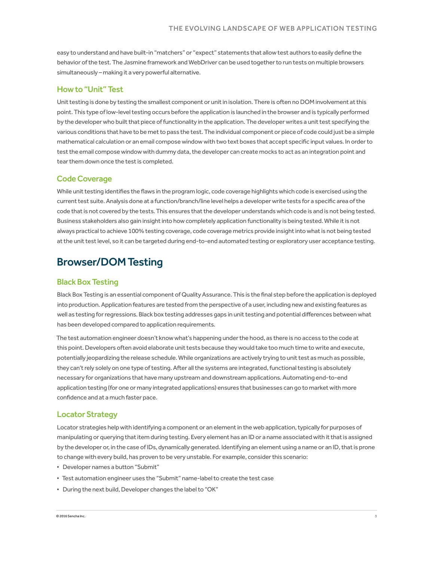easy to understand and have built-in "matchers" or "expect" statements that allow test authors to easily define the behavior of the test. The Jasmine framework and WebDriver can be used together to run tests on multiple browsers simultaneously – making it a very powerful alternative.

#### How to "Unit" Test

Unit testing is done by testing the smallest component or unit in isolation. There is often no DOM involvement at this point. This type of low-level testing occurs before the application is launched in the browser and is typically performed by the developer who built that piece of functionality in the application. The developer writes a unit test specifying the various conditions that have to be met to pass the test. The individual component or piece of code could just be a simple mathematical calculation or an email compose window with two text boxes that accept specific input values. In order to test the email compose window with dummy data, the developer can create mocks to act as an integration point and tear them down once the test is completed.

#### Code Coverage

While unit testing identifies the flaws in the program logic, code coverage highlights which code is exercised using the current test suite. Analysis done at a function/branch/line level helps a developer write tests for a specific area of the code that is not covered by the tests. This ensures that the developer understands which code is and is not being tested. Business stakeholders also gain insight into how completely application functionality is being tested. While it is not always practical to achieve 100% testing coverage, code coverage metrics provide insight into what is not being tested at the unit test level, so it can be targeted during end-to-end automated testing or exploratory user acceptance testing.

## Browser/DOM Testing

### Black Box Testing

Black Box Testing is an essential component of Quality Assurance. This is the final step before the application is deployed into production. Application features are tested from the perspective of a user, including new and existing features as well as testing for regressions. Black box testing addresses gaps in unit testing and potential differences between what has been developed compared to application requirements.

The test automation engineer doesn't know what's happening under the hood, as there is no access to the code at this point. Developers often avoid elaborate unit tests because they would take too much time to write and execute, potentially jeopardizing the release schedule. While organizations are actively trying to unit test as much as possible, they can't rely solely on one type of testing. After all the systems are integrated, functional testing is absolutely necessary for organizations that have many upstream and downstream applications. Automating end-to-end application testing (for one or many integrated applications) ensures that businesses can go to market with more confidence and at a much faster pace.

#### Locator Strategy

Locator strategies help with identifying a component or an element in the web application, typically for purposes of manipulating or querying that item during testing. Every element has an ID or a name associated with it that is assigned by the developer or, in the case of IDs, dynamically generated. Identifying an element using a name or an ID, that is prone to change with every build, has proven to be very unstable. For example, consider this scenario:

- Developer names a button "Submit"
- Test automation engineer uses the "Submit" name-label to create the test case
- During the next build, Developer changes the label to "OK"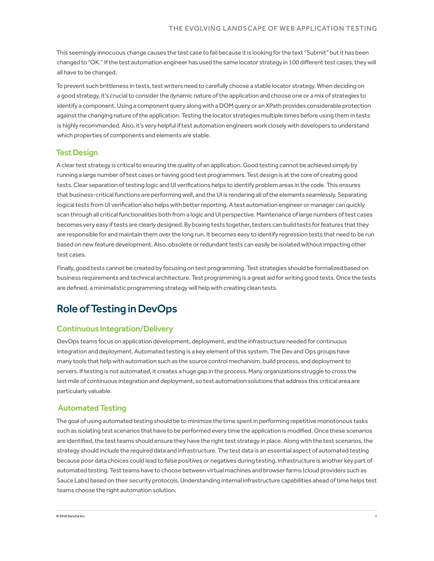This seemingly innocuous change causes the test case to fail because it is looking for the text "Submit" but it has been changed to "OK." If the test automation engineer has used the same locator strategy in 100 different test cases, they will all have to be changed.

To prevent such brittleness in tests, test writers need to carefully choose a stable locator strategy. When deciding on a good strategy, it's crucial to consider the dynamic nature of the application and choose one or a mix of strategies to identify a component. Using a component query along with a DOM query or an XPath provides considerable protection against the changing nature of the application. Testing the locator strategies multiple times before using them in tests is highly recommended. Also, it's very helpful if test automation engineers work closely with developers to understand which properties of components and elements are stable.

#### Test Design

A clear test strategy is critical to ensuring the quality of an application. Good testing cannot be achieved simply by running a large number of test cases or having good test programmers. Test design is at the core of creating good tests. Clear separation of testing logic and UI verifications helps to identify problem areas in the code. This ensures that business-critical functions are performing well, and the UI is rendering all of the elements seamlessly. Separating logical tests from UI verification also helps with better reporting. A test automation engineer or manager can quickly scan through all critical functionalities both from a logic and UI perspective. Maintenance of large numbers of test cases becomes very easy if tests are clearly designed. By boxing tests together, testers can build tests for features that they are responsible for and maintain them over the long run. It becomes easy to identify regression tests that need to be run based on new feature development. Also, obsolete or redundant tests can easily be isolated without impacting other test cases.

Finally, good tests cannot be created by focusing on test programming. Test strategies should be formalized based on business requirements and technical architecture. Test programming is a great aid for writing good tests. Once the tests are defined, a minimalistic programming strategy will help with creating clean tests.

## Role of Testing in DevOps

#### Continuous Integration/Delivery

DevOps teams focus on application development, deployment, and the infrastructure needed for continuous integration and deployment. Automated testing is a key element of this system. The Dev and Ops groups have many tools that help with automation such as the source control mechanism, build process, and deployment to servers. If testing is not automated, it creates a huge gap in the process. Many organizations struggle to cross the last mile of continuous integration and deployment, so test automation solutions that address this critical area are particularly valuable.

#### Automated Testing

The goal of using automated testing should be to minimize the time spent in performing repetitive monotonous tasks such as isolating test scenarios that have to be performed every time the application is modified. Once these scenarios are identified, the test teams should ensure they have the right test strategy in place. Along with the test scenarios, the strategy should include the required data and infrastructure. The test data is an essential aspect of automated testing because poor data choices could lead to false positives or negatives during testing. Infrastructure is another key part of automated testing. Test teams have to choose between virtual machines and browser farms (cloud providers such as Sauce Labs) based on their security protocols. Understanding internal infrastructure capabilities ahead of time helps test teams choose the right automation solution.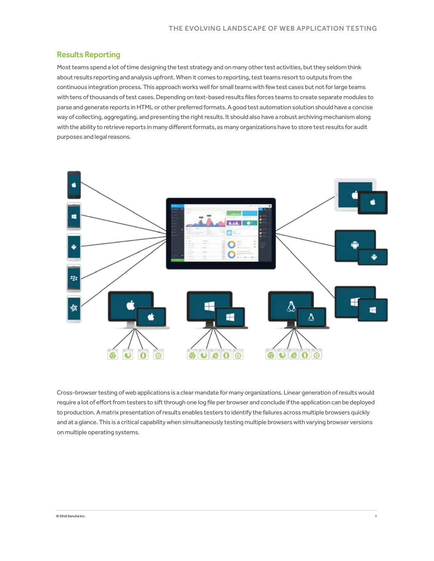#### Results Reporting

Most teams spend a lot of time designing the test strategy and on many other test activities, but they seldom think about results reporting and analysis upfront. When it comes to reporting, test teams resort to outputs from the continuous integration process. This approach works well for small teams with few test cases but not for large teams with tens of thousands of test cases. Depending on text-based results files forces teams to create separate modules to parse and generate reports in HTML or other preferred formats. A good test automation solution should have a concise way of collecting, aggregating, and presenting the right results. It should also have a robust archiving mechanism along with the ability to retrieve reports in many different formats, as many organizations have to store test results for audit purposes and legal reasons.



Cross-browser testing of web applications is a clear mandate for many organizations. Linear generation of results would require a lot of effort from testers to sift through one log file per browser and conclude if the application can be deployed to production. A matrix presentation of results enables testers to identify the failures across multiple browsers quickly and at a glance. This is a critical capability when simultaneously testing multiple browsers with varying browser versions on multiple operating systems.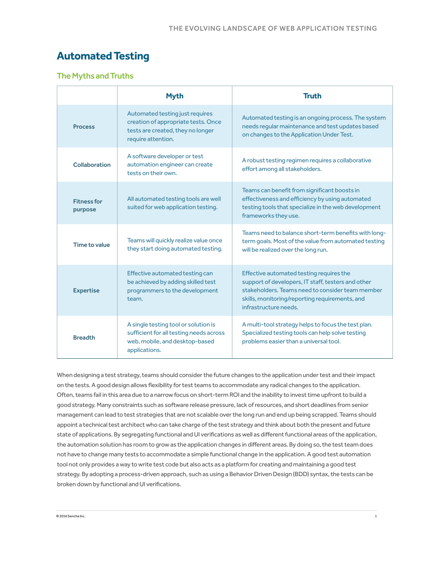## **Automated Testing**

## The Myths and Truths

|                              | <b>Myth</b>                                                                                                                        | <b>Truth</b>                                                                                                                                                                                                                  |
|------------------------------|------------------------------------------------------------------------------------------------------------------------------------|-------------------------------------------------------------------------------------------------------------------------------------------------------------------------------------------------------------------------------|
| <b>Process</b>               | Automated testing just requires<br>creation of appropriate tests. Once<br>tests are created, they no longer<br>require attention.  | Automated testing is an ongoing process. The system<br>needs regular maintenance and test updates based<br>on changes to the Application Under Test.                                                                          |
| Collaboration                | A software developer or test<br>automation engineer can create<br>tests on their own.                                              | A robust testing regimen requires a collaborative<br>effort among all stakeholders.                                                                                                                                           |
| <b>Fitnessfor</b><br>purpose | All automated testing tools are well<br>suited for web application testing.                                                        | Teams can benefit from significant boosts in<br>effectiveness and efficiency by using automated<br>testing tools that specialize in the web development<br>frameworks they use.                                               |
| Time to value                | Teams will quickly realize value once<br>they start doing automated testing.                                                       | Teams need to balance short-term benefits with long-<br>term goals. Most of the value from automated testing<br>will be realized over the long run.                                                                           |
| <b>Expertise</b>             | Effective automated testing can<br>be achieved by adding skilled test<br>programmers to the development<br>team.                   | Effective automated testing requires the<br>support of developers, IT staff, testers and other<br>stakeholders. Teams need to consider team member<br>skills, monitoring/reporting requirements, and<br>infrastructure needs. |
| <b>Breadth</b>               | A single testing tool or solution is<br>sufficient for all testing needs across<br>web, mobile, and desktop-based<br>applications. | A multi-tool strategy helps to focus the test plan.<br>Specialized testing tools can help solve testing<br>problems easier than a universal tool.                                                                             |

When designing a test strategy, teams should consider the future changes to the application under test and their impact on the tests. A good design allows flexibility for test teams to accommodate any radical changes to the application. Often, teams fail in this area due to a narrow focus on short-term ROI and the inability to invest time upfront to build a good strategy. Many constraints such as software release pressure, lack of resources, and short deadlines from senior management can lead to test strategies that are not scalable over the long run and end up being scrapped. Teams should appoint a technical test architect who can take charge of the test strategy and think about both the present and future state of applications. By segregating functional and UI verifications as well as different functional areas of the application, the automation solution has room to grow as the application changes in different areas. By doing so, the test team does not have to change many tests to accommodate a simple functional change in the application. A good test automation tool not only provides a way to write test code but also acts as a platform for creating and maintaining a good test strategy. By adopting a process-driven approach, such as using a Behavior Driven Design (BDD) syntax, the tests can be broken down by functional and UI verifications.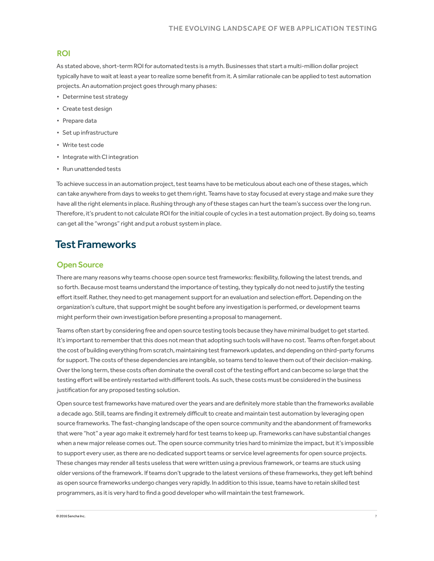#### ROI

As stated above, short-term ROI for automated tests is a myth. Businesses that start a multi-million dollar project typically have to wait at least a year to realize some benefit from it. A similar rationale can be applied to test automation projects. An automation project goes through many phases:

- Determine test strategy
- Create test design
- Prepare data
- Set up infrastructure
- Write test code
- Integrate with CI integration
- Run unattended tests

To achieve success in an automation project, test teams have to be meticulous about each one of these stages, which can take anywhere from days to weeks to get them right. Teams have to stay focused at every stage and make sure they have all the right elements in place. Rushing through any of these stages can hurt the team's success over the long run. Therefore, it's prudent to not calculate ROI for the initial couple of cycles in a test automation project. By doing so, teams can get all the "wrongs" right and put a robust system in place.

## Test Frameworks

## Open Source

There are many reasons why teams choose open source test frameworks: flexibility, following the latest trends, and so forth. Because most teams understand the importance of testing, they typically do not need to justify the testing effort itself. Rather, they need to get management support for an evaluation and selection effort. Depending on the organization's culture, that support might be sought before any investigation is performed, or development teams might perform their own investigation before presenting a proposal to management.

Teams often start by considering free and open source testing tools because they have minimal budget to get started. It's important to remember that this does not mean that adopting such tools will have no cost. Teams often forget about the cost of building everything from scratch, maintaining test framework updates, and depending on third-party forums for support. The costs of these dependencies are intangible, so teams tend to leave them out of their decision-making. Over the long term, these costs often dominate the overall cost of the testing effort and can become so large that the testing effort will be entirely restarted with different tools. As such, these costs must be considered in the business justification for any proposed testing solution.

Open source test frameworks have matured over the years and are definitely more stable than the frameworks available a decade ago. Still, teams are finding it extremely difficult to create and maintain test automation by leveraging open source frameworks. The fast-changing landscape of the open source community and the abandonment of frameworks that were "hot" a year ago make it extremely hard for test teams to keep up. Frameworks can have substantial changes when a new major release comes out. The open source community tries hard to minimize the impact, but it's impossible to support every user, as there are no dedicated support teams or service level agreements for open source projects. These changes may render all tests useless that were written using a previous framework, or teams are stuck using older versions of the framework. If teams don't upgrade to the latest versions of these frameworks, they get left behind as open source frameworks undergo changes very rapidly. In addition to this issue, teams have to retain skilled test programmers, as it is very hard to find a good developer who will maintain the test framework.